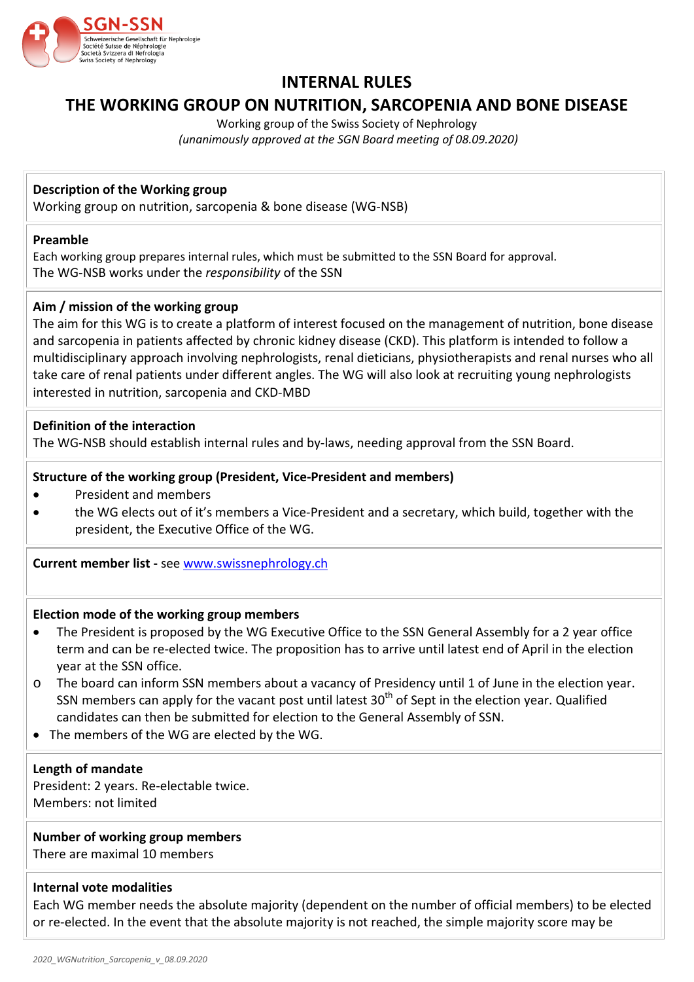

# **INTERNAL RULES**

# **THE WORKING GROUP ON NUTRITION, SARCOPENIA AND BONE DISEASE**

Working group of the Swiss Society of Nephrology *(unanimously approved at the SGN Board meeting of 08.09.2020)*

# **Description of the Working group**

Working group on nutrition, sarcopenia & bone disease (WG-NSB)

## **Preamble**

Each working group prepares internal rules, which must be submitted to the SSN Board for approval. The WG-NSB works under the *responsibility* of the SSN

## **Aim / mission of the working group**

The aim for this WG is to create a platform of interest focused on the management of nutrition, bone disease and sarcopenia in patients affected by chronic kidney disease (CKD). This platform is intended to follow a multidisciplinary approach involving nephrologists, renal dieticians, physiotherapists and renal nurses who all take care of renal patients under different angles. The WG will also look at recruiting young nephrologists interested in nutrition, sarcopenia and CKD-MBD

## **Definition of the interaction**

The WG-NSB should establish internal rules and by-laws, needing approval from the SSN Board.

## **Structure of the working group (President, Vice-President and members)**

- President and members
- the WG elects out of it's members a Vice-President and a secretary, which build, together with the president, the Executive Office of the WG.

**Current member list -** see [www.swissnephrology.ch](http://www.swissnephrology.ch/)

## **Election mode of the working group members**

- The President is proposed by the WG Executive Office to the SSN General Assembly for a 2 year office term and can be re-elected twice. The proposition has to arrive until latest end of April in the election year at the SSN office.
- o The board can inform SSN members about a vacancy of Presidency until 1 of June in the election year. SSN members can apply for the vacant post until latest 30<sup>th</sup> of Sept in the election year. Qualified candidates can then be submitted for election to the General Assembly of SSN.
- The members of the WG are elected by the WG.

#### **Length of mandate**

President: 2 years. Re-electable twice. Members: not limited

## **Number of working group members**

There are maximal 10 members

#### **Internal vote modalities**

Each WG member needs the absolute majority (dependent on the number of official members) to be elected or re-elected. In the event that the absolute majority is not reached, the simple majority score may be